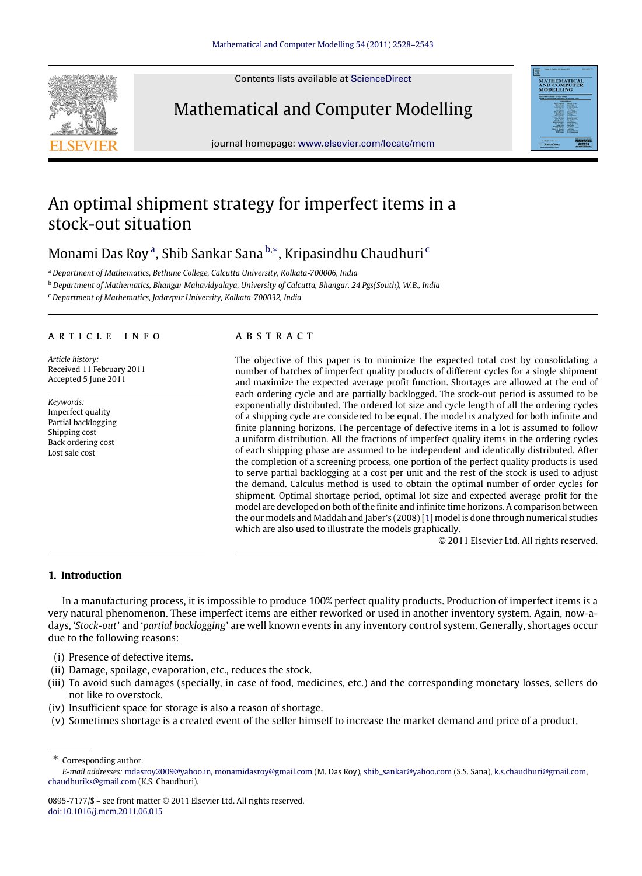Contents lists available at [ScienceDirect](http://www.elsevier.com/locate/mcm)

# Mathematical and Computer Modelling

journal homepage: [www.elsevier.com/locate/mcm](http://www.elsevier.com/locate/mcm)

# An optimal shipment strategy for imperfect items in a stock-out situation

# Mon[a](#page-0-0)mi Das Royª, Shib Sankar Sana <sup>[b,](#page-0-1)</sup>\*, Kripasindhu Chaudhuri <sup>[c](#page-0-3)</sup>

<span id="page-0-0"></span><sup>a</sup> *Department of Mathematics, Bethune College, Calcutta University, Kolkata-700006, India*

<span id="page-0-1"></span><sup>b</sup> *Department of Mathematics, Bhangar Mahavidyalaya, University of Calcutta, Bhangar, 24 Pgs(South), W.B., India*

<span id="page-0-3"></span><sup>c</sup> *Department of Mathematics, Jadavpur University, Kolkata-700032, India*

#### a r t i c l e i n f o

*Article history:* Received 11 February 2011 Accepted 5 June 2011

*Keywords:* Imperfect quality Partial backlogging Shipping cost Back ordering cost Lost sale cost

# a b s t r a c t

The objective of this paper is to minimize the expected total cost by consolidating a number of batches of imperfect quality products of different cycles for a single shipment and maximize the expected average profit function. Shortages are allowed at the end of each ordering cycle and are partially backlogged. The stock-out period is assumed to be exponentially distributed. The ordered lot size and cycle length of all the ordering cycles of a shipping cycle are considered to be equal. The model is analyzed for both infinite and finite planning horizons. The percentage of defective items in a lot is assumed to follow a uniform distribution. All the fractions of imperfect quality items in the ordering cycles of each shipping phase are assumed to be independent and identically distributed. After the completion of a screening process, one portion of the perfect quality products is used to serve partial backlogging at a cost per unit and the rest of the stock is used to adjust the demand. Calculus method is used to obtain the optimal number of order cycles for shipment. Optimal shortage period, optimal lot size and expected average profit for the model are developed on both of the finite and infinite time horizons. A comparison between the our models and Maddah and Jaber's (2008) [\[1\]](#page-14-0) model is done through numerical studies which are also used to illustrate the models graphically.

© 2011 Elsevier Ltd. All rights reserved.

### **1. Introduction**

In a manufacturing process, it is impossible to produce 100% perfect quality products. Production of imperfect items is a very natural phenomenon. These imperfect items are either reworked or used in another inventory system. Again, now-adays, '*Stock-out*' and '*partial backlogging*' are well known events in any inventory control system. Generally, shortages occur due to the following reasons:

- (i) Presence of defective items.
- (ii) Damage, spoilage, evaporation, etc., reduces the stock.
- (iii) To avoid such damages (specially, in case of food, medicines, etc.) and the corresponding monetary losses, sellers do not like to overstock.
- (iv) Insufficient space for storage is also a reason of shortage.
- (v) Sometimes shortage is a created event of the seller himself to increase the market demand and price of a product.





<span id="page-0-2"></span><sup>∗</sup> Corresponding author.

*E-mail addresses:* [mdasroy2009@yahoo.in,](mailto:mdasroy2009@yahoo.in) [monamidasroy@gmail.com](mailto:monamidasroy@gmail.com) (M. Das Roy), [shib\\_sankar@yahoo.com](mailto:shib_sankar@yahoo.com) (S.S. Sana), [k.s.chaudhuri@gmail.com,](mailto:k.s.chaudhuri@gmail.com) [chaudhuriks@gmail.com](mailto:chaudhuriks@gmail.com) (K.S. Chaudhuri).

<sup>0895-7177/\$ –</sup> see front matter © 2011 Elsevier Ltd. All rights reserved. [doi:10.1016/j.mcm.2011.06.015](http://dx.doi.org/10.1016/j.mcm.2011.06.015)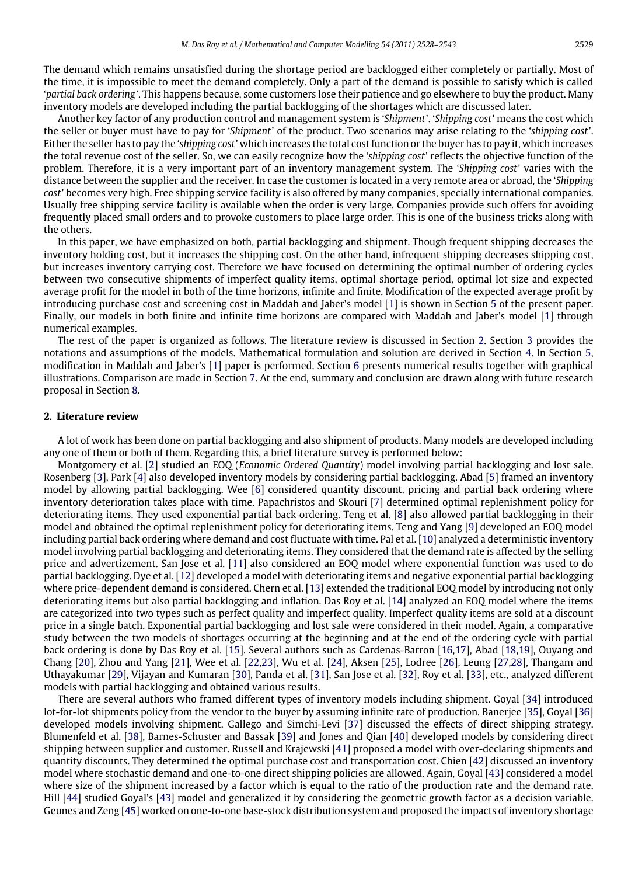The demand which remains unsatisfied during the shortage period are backlogged either completely or partially. Most of the time, it is impossible to meet the demand completely. Only a part of the demand is possible to satisfy which is called '*partial back ordering*'. This happens because, some customers lose their patience and go elsewhere to buy the product. Many inventory models are developed including the partial backlogging of the shortages which are discussed later.

Another key factor of any production control and management system is '*Shipment*'. '*Shipping cost*' means the cost which the seller or buyer must have to pay for '*Shipment*' of the product. Two scenarios may arise relating to the '*shipping cost*'. Either the seller has to pay the '*shipping cost*' which increases the total cost function or the buyer has to pay it, which increases the total revenue cost of the seller. So, we can easily recognize how the '*shipping cost*' reflects the objective function of the problem. Therefore, it is a very important part of an inventory management system. The '*Shipping cost*' varies with the distance between the supplier and the receiver. In case the customer is located in a very remote area or abroad, the '*Shipping cost*' becomes very high. Free shipping service facility is also offered by many companies, specially international companies. Usually free shipping service facility is available when the order is very large. Companies provide such offers for avoiding frequently placed small orders and to provoke customers to place large order. This is one of the business tricks along with the others.

In this paper, we have emphasized on both, partial backlogging and shipment. Though frequent shipping decreases the inventory holding cost, but it increases the shipping cost. On the other hand, infrequent shipping decreases shipping cost, but increases inventory carrying cost. Therefore we have focused on determining the optimal number of ordering cycles between two consecutive shipments of imperfect quality items, optimal shortage period, optimal lot size and expected average profit for the model in both of the time horizons, infinite and finite. Modification of the expected average profit by introducing purchase cost and screening cost in Maddah and Jaber's model [\[1\]](#page-14-0) is shown in Section [5](#page-9-0) of the present paper. Finally, our models in both finite and infinite time horizons are compared with Maddah and Jaber's model [\[1\]](#page-14-0) through numerical examples.

The rest of the paper is organized as follows. The literature review is discussed in Section [2.](#page-1-0) Section [3](#page-2-0) provides the notations and assumptions of the models. Mathematical formulation and solution are derived in Section [4.](#page-3-0) In Section [5,](#page-9-0) modification in Maddah and Jaber's [\[1\]](#page-14-0) paper is performed. Section [6](#page-9-1) presents numerical results together with graphical illustrations. Comparison are made in Section [7.](#page-11-0) At the end, summary and conclusion are drawn along with future research proposal in Section [8.](#page-11-1)

#### <span id="page-1-0"></span>**2. Literature review**

A lot of work has been done on partial backlogging and also shipment of products. Many models are developed including any one of them or both of them. Regarding this, a brief literature survey is performed below:

Montgomery et al. [\[2\]](#page-14-1) studied an EOQ (*Economic Ordered Quantity*) model involving partial backlogging and lost sale. Rosenberg [\[3\]](#page-14-2), Park [\[4\]](#page-14-3) also developed inventory models by considering partial backlogging. Abad [\[5\]](#page-14-4) framed an inventory model by allowing partial backlogging. Wee [\[6\]](#page-14-5) considered quantity discount, pricing and partial back ordering where inventory deterioration takes place with time. Papachristos and Skouri [\[7\]](#page-14-6) determined optimal replenishment policy for deteriorating items. They used exponential partial back ordering. Teng et al. [\[8\]](#page-14-7) also allowed partial backlogging in their model and obtained the optimal replenishment policy for deteriorating items. Teng and Yang [\[9\]](#page-14-8) developed an EOQ model including partial back ordering where demand and cost fluctuate with time. Pal et al. [\[10\]](#page-14-9) analyzed a deterministic inventory model involving partial backlogging and deteriorating items. They considered that the demand rate is affected by the selling price and advertizement. San Jose et al. [\[11\]](#page-14-10) also considered an EOQ model where exponential function was used to do partial backlogging. Dye et al. [\[12\]](#page-15-0) developed a model with deteriorating items and negative exponential partial backlogging where price-dependent demand is considered. Chern et al. [\[13\]](#page-15-1) extended the traditional EOQ model by introducing not only deteriorating items but also partial backlogging and inflation. Das Roy et al. [\[14\]](#page-15-2) analyzed an EOQ model where the items are categorized into two types such as perfect quality and imperfect quality. Imperfect quality items are sold at a discount price in a single batch. Exponential partial backlogging and lost sale were considered in their model. Again, a comparative study between the two models of shortages occurring at the beginning and at the end of the ordering cycle with partial back ordering is done by Das Roy et al. [\[15\]](#page-15-3). Several authors such as Cardenas-Barron [\[16](#page-15-4)[,17\]](#page-15-5), Abad [\[18,](#page-15-6)[19\]](#page-15-7), Ouyang and Chang [\[20\]](#page-15-8), Zhou and Yang [\[21\]](#page-15-9), Wee et al. [\[22,](#page-15-10)[23\]](#page-15-11), Wu et al. [\[24\]](#page-15-12), Aksen [\[25\]](#page-15-13), Lodree [\[26\]](#page-15-14), Leung [\[27,](#page-15-15)[28\]](#page-15-16), Thangam and Uthayakumar [\[29\]](#page-15-17), Vijayan and Kumaran [\[30\]](#page-15-18), Panda et al. [\[31\]](#page-15-19), San Jose et al. [\[32\]](#page-15-20), Roy et al. [\[33\]](#page-15-21), etc., analyzed different models with partial backlogging and obtained various results.

There are several authors who framed different types of inventory models including shipment. Goyal [\[34\]](#page-15-22) introduced lot-for-lot shipments policy from the vendor to the buyer by assuming infinite rate of production. Banerjee [\[35\]](#page-15-23), Goyal [\[36\]](#page-15-24) developed models involving shipment. Gallego and Simchi-Levi [\[37\]](#page-15-25) discussed the effects of direct shipping strategy. Blumenfeld et al. [\[38\]](#page-15-26), Barnes-Schuster and Bassak [\[39\]](#page-15-27) and Jones and Qian [\[40\]](#page-15-28) developed models by considering direct shipping between supplier and customer. Russell and Krajewski [\[41\]](#page-15-29) proposed a model with over-declaring shipments and quantity discounts. They determined the optimal purchase cost and transportation cost. Chien [\[42\]](#page-15-30) discussed an inventory model where stochastic demand and one-to-one direct shipping policies are allowed. Again, Goyal [\[43\]](#page-15-31) considered a model where size of the shipment increased by a factor which is equal to the ratio of the production rate and the demand rate. Hill [\[44\]](#page-15-32) studied Goyal's [\[43\]](#page-15-31) model and generalized it by considering the geometric growth factor as a decision variable. Geunes and Zeng [\[45\]](#page-15-33) worked on one-to-one base-stock distribution system and proposed the impacts of inventory shortage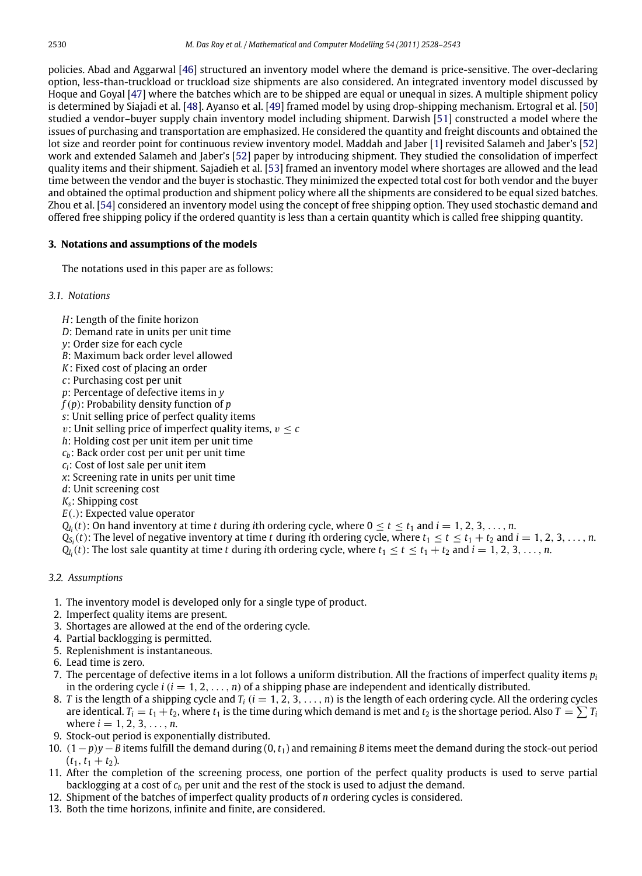policies. Abad and Aggarwal [\[46\]](#page-15-34) structured an inventory model where the demand is price-sensitive. The over-declaring option, less-than-truckload or truckload size shipments are also considered. An integrated inventory model discussed by Hoque and Goyal [\[47\]](#page-15-35) where the batches which are to be shipped are equal or unequal in sizes. A multiple shipment policy is determined by Siajadi et al. [\[48\]](#page-15-36). Ayanso et al. [\[49\]](#page-15-37) framed model by using drop-shipping mechanism. Ertogral et al. [\[50\]](#page-15-38) studied a vendor–buyer supply chain inventory model including shipment. Darwish [\[51\]](#page-15-39) constructed a model where the issues of purchasing and transportation are emphasized. He considered the quantity and freight discounts and obtained the lot size and reorder point for continuous review inventory model. Maddah and Jaber [\[1\]](#page-14-0) revisited Salameh and Jaber's [\[52\]](#page-15-40) work and extended Salameh and Jaber's [\[52\]](#page-15-40) paper by introducing shipment. They studied the consolidation of imperfect quality items and their shipment. Sajadieh et al. [\[53\]](#page-15-41) framed an inventory model where shortages are allowed and the lead time between the vendor and the buyer is stochastic. They minimized the expected total cost for both vendor and the buyer and obtained the optimal production and shipment policy where all the shipments are considered to be equal sized batches. Zhou et al. [\[54\]](#page-15-42) considered an inventory model using the concept of free shipping option. They used stochastic demand and offered free shipping policy if the ordered quantity is less than a certain quantity which is called free shipping quantity.

## <span id="page-2-0"></span>**3. Notations and assumptions of the models**

The notations used in this paper are as follows:

## *3.1. Notations*

- *H*: Length of the finite horizon
- *D*: Demand rate in units per unit time
- *y*: Order size for each cycle
- *B*: Maximum back order level allowed
- *K*: Fixed cost of placing an order
- *c*: Purchasing cost per unit
- *p*: Percentage of defective items in *y*
- *f*(*p*): Probability density function of *p*
- *s*: Unit selling price of perfect quality items
- *v*: Unit selling price of imperfect quality items,  $v < c$
- *h*: Holding cost per unit item per unit time
- *cb*: Back order cost per unit per unit time
- *cl*: Cost of lost sale per unit item
- *x*: Screening rate in units per unit time
- *d*: Unit screening cost
- *Ks*: Shipping cost
- *E*(.): Expected value operator
- $Q_i(t)$ : On hand inventory at time *t* during *i*th ordering cycle, where  $0 \le t \le t_1$  and  $i = 1, 2, 3, \ldots, n$ .
- $Q_{S_i}(t)$ : The level of negative inventory at time *t* during *i*th ordering cycle, where  $t_1 \le t \le t_1 + t_2$  and  $i = 1, 2, 3, \ldots, n$ .  $Q_i(t)$ : The lost sale quantity at time *t* during *i*th ordering cycle, where  $t_1 \le t \le t_1 + t_2$  and  $i = 1, 2, 3, ..., n$ .

# *3.2. Assumptions*

- 1. The inventory model is developed only for a single type of product.
- 2. Imperfect quality items are present.
- 3. Shortages are allowed at the end of the ordering cycle.
- 4. Partial backlogging is permitted.
- 5. Replenishment is instantaneous.
- 6. Lead time is zero.
- 7. The percentage of defective items in a lot follows a uniform distribution. All the fractions of imperfect quality items *p<sup>i</sup>* in the ordering cycle  $i$  ( $i = 1, 2, \ldots, n$ ) of a shipping phase are independent and identically distributed.
- 8. *T* is the length of a shipping cycle and  $T_i$  ( $i = 1, 2, 3, \ldots, n$ ) is the length of each ordering cycle. All the ordering cycles are identical.  $T_i=t_1+t_2,$  where  $t_1$  is the time during which demand is met and  $t_2$  is the shortage period. Also  $T=\sum T_i$ where  $i = 1, 2, 3, \ldots, n$ .
- 9. Stock-out period is exponentially distributed.
- 10. (1−*p*)*y*−*B* items fulfill the demand during (0, *t*1) and remaining *B* items meet the demand during the stock-out period  $(t_1, t_1 + t_2).$
- 11. After the completion of the screening process, one portion of the perfect quality products is used to serve partial backlogging at a cost of *c<sup>b</sup>* per unit and the rest of the stock is used to adjust the demand.
- 12. Shipment of the batches of imperfect quality products of *n* ordering cycles is considered.
- 13. Both the time horizons, infinite and finite, are considered.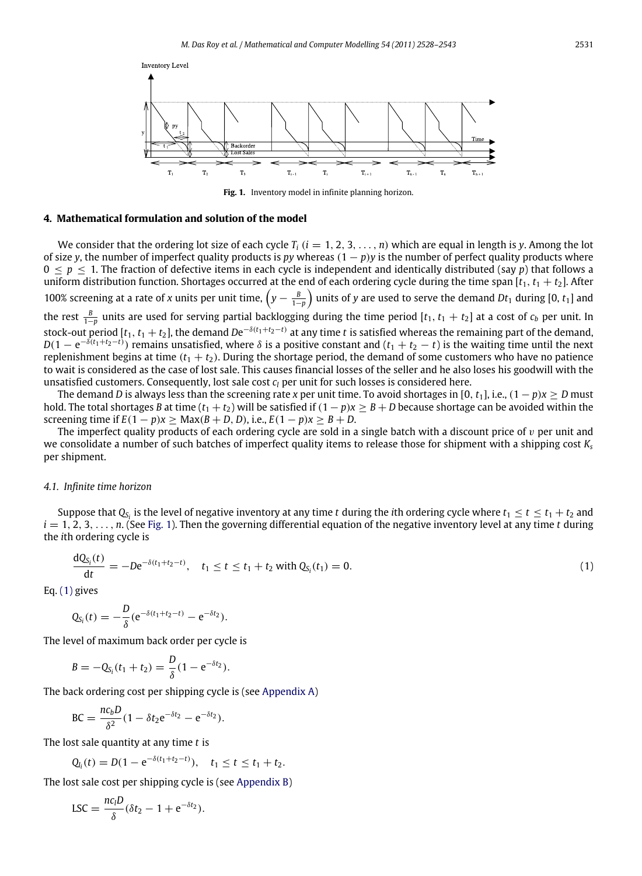<span id="page-3-1"></span>

**Fig. 1.** Inventory model in infinite planning horizon.

#### <span id="page-3-0"></span>**4. Mathematical formulation and solution of the model**

We consider that the ordering lot size of each cycle  $T_i$   $(i = 1, 2, 3, \ldots, n)$  which are equal in length is *y*. Among the lot of size *y*, the number of imperfect quality products is *py* whereas  $(1 - p)y$  is the number of perfect quality products where  $0 \le p \le 1$ . The fraction of defective items in each cycle is independent and identically distributed (say *p*) that follows a uniform distribution function. Shortages occurred at the end of each ordering cycle during the time span  $[t_1, t_1 + t_2]$ . After 100% screening at a rate of *x* units per unit time,  $\left(y - \frac{B}{1-p}\right)$  units of *y* are used to serve the demand *Dt*<sub>1</sub> during [0, *t*<sub>1</sub>] and the rest  $\frac{B}{1-p}$  units are used for serving partial backlogging during the time period  $[t_1, t_1 + t_2]$  at a cost of  $c_b$  per unit. In stock-out period [*t*1, *t*<sup>1</sup> + *t*2], the demand *D*e −δ(*t*1+*t*2−*t*) at any time *t* is satisfied whereas the remaining part of the demand,  $D(1 - e^{-\delta(t_1+t_2-t)})$  remains unsatisfied, where  $\delta$  is a positive constant and  $(t_1+t_2-t)$  is the waiting time until the next replenishment begins at time  $(t_1 + t_2)$ . During the shortage period, the demand of some customers who have no patience to wait is considered as the case of lost sale. This causes financial losses of the seller and he also loses his goodwill with the unsatisfied customers. Consequently, lost sale cost  $c_i$  per unit for such losses is considered here.

The demand *D* is always less than the screening rate *x* per unit time. To avoid shortages in [0, *t*<sub>1</sub>], i.e.,  $(1 - p)x > D$  must hold. The total shortages *B* at time  $(t_1 + t_2)$  will be satisfied if  $(1 - p)x \geq B + D$  because shortage can be avoided within the screening time if  $E(1 - p)x \ge Max(B + D, D)$ , i.e.,  $E(1 - p)x \ge B + D$ .

The imperfect quality products of each ordering cycle are sold in a single batch with a discount price of  $v$  per unit and we consolidate a number of such batches of imperfect quality items to release those for shipment with a shipping cost *K<sup>s</sup>* per shipment.

#### *4.1. Infinite time horizon*

<span id="page-3-2"></span>(*t*)

Suppose that  $Q_{S_i}$  is the level of negative inventory at any time  $t$  during the *i*th ordering cycle where  $t_1\le t\le t_1+t_2$  and  $i = 1, 2, 3, \ldots, n$ . (See [Fig. 1\)](#page-3-1). Then the governing differential equation of the negative inventory level at any time *t* during the *i*th ordering cycle is

$$
\frac{dQ_{S_i}(t)}{dt} = -De^{-\delta(t_1+t_2-t)}, \quad t_1 \le t \le t_1+t_2 \text{ with } Q_{S_i}(t_1) = 0. \tag{1}
$$

Eq.  $(1)$  gives

$$
Q_{S_i}(t) = -\frac{D}{\delta}(e^{-\delta(t_1+t_2-t)} - e^{-\delta t_2}).
$$

The level of maximum back order per cycle is

$$
B = -Q_{S_i}(t_1 + t_2) = \frac{D}{\delta}(1 - e^{-\delta t_2}).
$$

The back ordering cost per shipping cycle is (see [Appendix A\)](#page-12-0)

$$
BC = \frac{n c_b D}{\delta^2} (1 - \delta t_2 e^{-\delta t_2} - e^{-\delta t_2}).
$$

The lost sale quantity at any time *t* is

$$
Q_{l_i}(t) = D(1 - e^{-\delta(t_1 + t_2 - t)}), \quad t_1 \le t \le t_1 + t_2.
$$

The lost sale cost per shipping cycle is (see [Appendix B\)](#page-12-1)

$$
LSC = \frac{nc_lD}{\delta}(\delta t_2 - 1 + e^{-\delta t_2}).
$$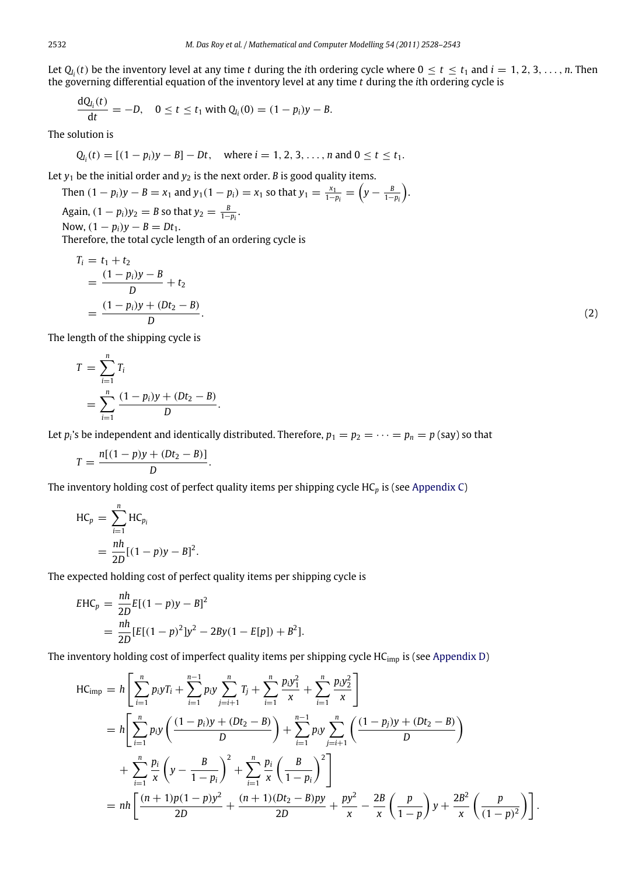Let  $Q_i(t)$  be the inventory level at any time *t* during the *i*th ordering cycle where  $0 \le t \le t_1$  and  $i = 1, 2, 3, ..., n$ . Then the governing differential equation of the inventory level at any time *t* during the *i*th ordering cycle is

$$
\frac{\mathrm{d}Q_{l_i}(t)}{\mathrm{d}t}=-D,\quad 0\leq t\leq t_1\text{ with }Q_{l_i}(0)=(1-p_i)y-B.
$$

The solution is

$$
Q_{i_i}(t) = [(1 - p_i)y - B] - Dt
$$
, where  $i = 1, 2, 3, ..., n$  and  $0 \le t \le t_1$ .

Let  $y_1$  be the initial order and  $y_2$  is the next order. *B* is good quality items.

Then  $(1 - p_i)y - B = x_1$  and  $y_1(1 - p_i) = x_1$  so that  $y_1 = \frac{x_1}{1 - p_i} = \left(y - \frac{B}{1 - p_i}\right)$ . Again,  $(1 - p_i)y_2 = B$  so that  $y_2 = \frac{B}{1 - p_i}$ . Now,  $(1 - p_i)y - B = Dt_1$ . Therefore, the total cycle length of an ordering cycle is

$$
T_i = t_1 + t_2
$$
  
= 
$$
\frac{(1 - p_i)y - B}{D} + t_2
$$
  
= 
$$
\frac{(1 - p_i)y + (Dt_2 - B)}{D}
$$

The length of the shipping cycle is

$$
T = \sum_{i=1}^{n} T_i
$$
  
= 
$$
\sum_{i=1}^{n} \frac{(1 - p_i)y + (Dt_2 - B)}{D}.
$$

Let  $p_i$ 's be independent and identically distributed. Therefore,  $p_1 = p_2 = \cdots = p_n = p$  (say) so that

$$
T = \frac{n[(1-p)y + (Dt_2 - B)]}{D}.
$$

The inventory holding cost of perfect quality items per shipping cycle HC*<sup>p</sup>* is (see [Appendix C\)](#page-12-2)

$$
HC_p = \sum_{i=1}^n HC_{p_i}
$$
  
= 
$$
\frac{nh}{2D}[(1-p)y - B]^2.
$$

The expected holding cost of perfect quality items per shipping cycle is

$$
EHC_p = \frac{nh}{2D}E[(1-p)y - B]^2
$$
  
= 
$$
\frac{nh}{2D}[E[(1-p)^2]y^2 - 2By(1 - E[p]) + B^2].
$$

The inventory holding cost of imperfect quality items per shipping cycle HC<sub>imp</sub> is (see [Appendix D\)](#page-13-0)

$$
\begin{split} \mathrm{HC_{imp}} &= h \Bigg[ \sum_{i=1}^{n} p_i y T_i + \sum_{i=1}^{n-1} p_i y \sum_{j=i+1}^{n} T_j + \sum_{i=1}^{n} \frac{p_i y_1^2}{x} + \sum_{i=1}^{n} \frac{p_i y_2^2}{x} \Bigg] \\ &= h \Bigg[ \sum_{i=1}^{n} p_i y \left( \frac{(1-p_i)y + (Dt_2 - B)}{D} \right) + \sum_{i=1}^{n-1} p_i y \sum_{j=i+1}^{n} \left( \frac{(1-p_j)y + (Dt_2 - B)}{D} \right) \\ &+ \sum_{i=1}^{n} \frac{p_i}{x} \left( y - \frac{B}{1-p_i} \right)^2 + \sum_{i=1}^{n} \frac{p_i}{x} \left( \frac{B}{1-p_i} \right)^2 \Bigg] \\ &= n h \Bigg[ \frac{(n+1)p(1-p)y^2}{2D} + \frac{(n+1)(Dt_2 - B)py}{2D} + \frac{py^2}{x} - \frac{2B}{x} \left( \frac{p}{1-p} \right) y + \frac{2B^2}{x} \left( \frac{p}{(1-p)^2} \right) \Bigg]. \end{split}
$$

.  $(2)$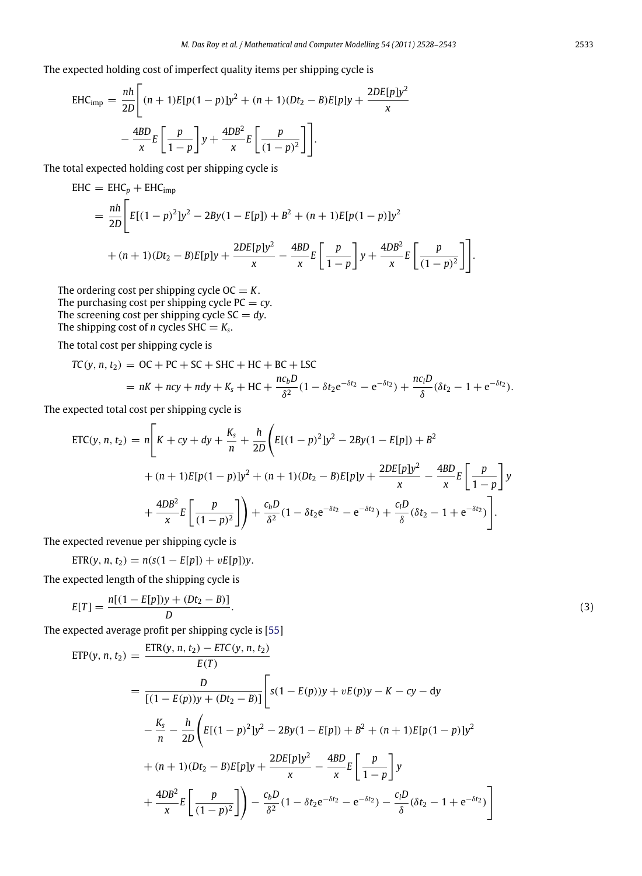The expected holding cost of imperfect quality items per shipping cycle is

$$
EHC_{\text{imp}} = \frac{nh}{2D} \left[ (n+1)E[p(1-p)]y^{2} + (n+1)(Dt_{2} - B)E[p]y + \frac{2DE[p]y^{2}}{x} - \frac{4BD}{x}E\left[\frac{p}{1-p}\right]y + \frac{4DB^{2}}{x}E\left[\frac{p}{(1-p)^{2}}\right] \right].
$$

The total expected holding cost per shipping cycle is

$$
EHC = EHC_p + EHC_{imp}
$$
  
=  $\frac{nh}{2D} \left[ E[(1-p)^2]y^2 - 2By(1 - E[p]) + B^2 + (n + 1)E[p(1-p)]y^2 + (n + 1)(Dt_2 - B)E[p]y + \frac{2DE[p]y^2}{x} - \frac{4BD}{x}E\left[\frac{p}{1-p}\right]y + \frac{4DB^2}{x}E\left[\frac{p}{(1-p)^2}\right] \right].$ 

The ordering cost per shipping cycle  $OC = K$ . The purchasing cost per shipping cycle  $PC = cy$ . The screening cost per shipping cycle  $SC = dy$ . The shipping cost of *n* cycles SHC  $= K<sub>s</sub>$ .

The total cost per shipping cycle is

$$
TC(y, n, t_2) = OC + PC + SC + SHC + HC + BC + LSC
$$
  
= nK + ncy + ndy + K<sub>s</sub> + HC +  $\frac{nc_bD}{\delta^2}(1 - \delta t_2 e^{-\delta t_2} - e^{-\delta t_2}) + \frac{nc_lD}{\delta}(\delta t_2 - 1 + e^{-\delta t_2}).$ 

The expected total cost per shipping cycle is

$$
\begin{split} \text{ETC}(y, n, t_2) &= n \Bigg[ K + cy + dy + \frac{K_s}{n} + \frac{h}{2D} \Bigg( E[(1-p)^2]y^2 - 2By(1-E[p]) + B^2 \\ &+ (n+1)E[p(1-p)]y^2 + (n+1)(Dt_2 - B)E[p]y + \frac{2DE[p]y^2}{x} - \frac{4BD}{x}E\left[\frac{p}{1-p}\right]y \\ &+ \frac{4DB^2}{x}E\left[\frac{p}{(1-p)^2}\right] \Bigg) + \frac{c_b D}{\delta^2} (1 - \delta t_2 e^{-\delta t_2} - e^{-\delta t_2}) + \frac{c_l D}{\delta} (\delta t_2 - 1 + e^{-\delta t_2}) \Bigg]. \end{split}
$$

The expected revenue per shipping cycle is

<span id="page-5-0"></span> $ETR(y, n, t_2) = n(s(1 - E[p]) + vE[p])y.$ 

The expected length of the shipping cycle is

$$
E[T] = \frac{n[(1 - E[p])y + (Dt_2 - B)]}{D}.
$$
\n(3)

The expected average profit per shipping cycle is [\[55\]](#page-15-43)

$$
\begin{split} \text{ETP}(y, n, t_2) &= \frac{\text{ETR}(y, n, t_2) - \text{ETC}(y, n, t_2)}{E(T)} \\ &= \frac{D}{[(1 - E(p))y + (Dt_2 - B)]} \Bigg[ s(1 - E(p))y + vE(p)y - K - cy - dy \\ &- \frac{K_s}{n} - \frac{h}{2D} \Bigg( E[(1 - p)^2]y^2 - 2By(1 - E[p]) + B^2 + (n + 1)E[p(1 - p)]y^2 \\ &+ (n + 1)(Dt_2 - B)E[p]y + \frac{2DE[p]y^2}{x} - \frac{4BD}{x}E\left[\frac{p}{1 - p}\right]y \\ &+ \frac{4DB^2}{x}E\left[\frac{p}{(1 - p)^2}\right] \Bigg) - \frac{c_b D}{\delta^2} (1 - \delta t_2 e^{-\delta t_2} - e^{-\delta t_2}) - \frac{c_l D}{\delta} (\delta t_2 - 1 + e^{-\delta t_2}) \Bigg] \end{split}
$$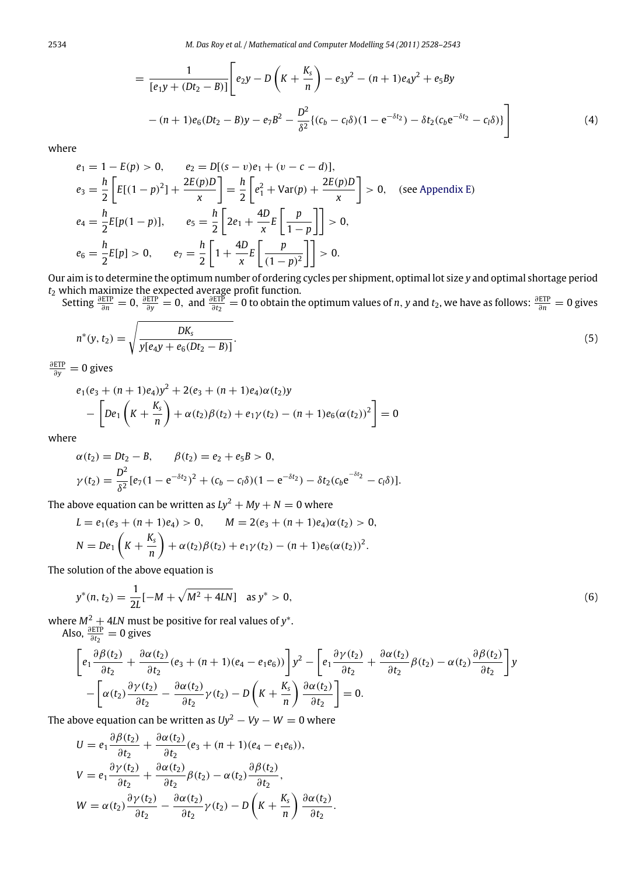<span id="page-6-2"></span>
$$
= \frac{1}{[e_1y + (Dt_2 - B)]} \left[ e_2y - D\left( K + \frac{K_s}{n} \right) - e_3y^2 - (n+1)e_4y^2 + e_5By \right. \\ \left. - (n+1)e_6(Dt_2 - B)y - e_7B^2 - \frac{D^2}{\delta^2} \{ (c_b - c_l\delta)(1 - e^{-\delta t_2}) - \delta t_2 (c_b e^{-\delta t_2} - c_l\delta) \} \right]
$$
(4)

where

$$
e_1 = 1 - E(p) > 0, \qquad e_2 = D[(s - v)e_1 + (v - c - d)],
$$
\n
$$
e_3 = \frac{h}{2} \left[ E[(1 - p)^2] + \frac{2E(p)D}{x} \right] = \frac{h}{2} \left[ e_1^2 + \text{Var}(p) + \frac{2E(p)D}{x} \right] > 0, \quad \text{(see Appendix E)}
$$
\n
$$
e_4 = \frac{h}{2} E[p(1 - p)], \qquad e_5 = \frac{h}{2} \left[ 2e_1 + \frac{4D}{x} E\left[ \frac{p}{1 - p} \right] \right] > 0,
$$
\n
$$
e_6 = \frac{h}{2} E[p] > 0, \qquad e_7 = \frac{h}{2} \left[ 1 + \frac{4D}{x} E\left[ \frac{p}{(1 - p)^2} \right] \right] > 0.
$$

Our aim is to determine the optimum number of ordering cycles per shipment, optimal lot size *y* and optimal shortage period

 $t_2$  which maximize the expected average profit function.<br>Setting  $\frac{\partial \text{ETP}}{\partial n} = 0$ ,  $\frac{\partial \text{ETP}}{\partial y} = 0$ , and  $\frac{\partial \text{ETP}}{\partial t_2} = 0$  to obtain the optimum values of n, y and  $t_2$ , we have as follows:  $\frac{\partial \text{ETP}}{\partial n} = 0$ 

$$
n^*(y, t_2) = \sqrt{\frac{DK_s}{y[e_4y + e_6(Dt_2 - B)]}}.
$$
\n(5)

 $\frac{\partial \text{ETP}}{\partial y} = 0$  gives

<span id="page-6-1"></span>
$$
e_1(e_3 + (n+1)e_4)y^2 + 2(e_3 + (n+1)e_4)\alpha(t_2)y
$$
  
 
$$
- \left[De_1\left(K + \frac{K_s}{n}\right) + \alpha(t_2)\beta(t_2) + e_1\gamma(t_2) - (n+1)e_6(\alpha(t_2))^2\right] = 0
$$

where

$$
\alpha(t_2) = Dt_2 - B, \qquad \beta(t_2) = e_2 + e_5B > 0,
$$
  

$$
\gamma(t_2) = \frac{D^2}{\delta^2} [e_7(1 - e^{-\delta t_2})^2 + (c_b - c_l\delta)(1 - e^{-\delta t_2}) - \delta t_2 (c_b e^{-\delta t_2} - c_l\delta)].
$$

The above equation can be written as  $Ly^2 + My + N = 0$  where

$$
L = e_1(e_3 + (n+1)e_4) > 0, \qquad M = 2(e_3 + (n+1)e_4)\alpha(t_2) > 0,
$$
  

$$
N = De_1\left(K + \frac{K_s}{n}\right) + \alpha(t_2)\beta(t_2) + e_1\gamma(t_2) - (n+1)e_6(\alpha(t_2))^2.
$$

The solution of the above equation is

<span id="page-6-0"></span>
$$
y^*(n, t_2) = \frac{1}{2L}[-M + \sqrt{M^2 + 4LN}] \quad \text{as } y^* > 0,
$$
\n(6)

where  $M^2 + 4LN$  must be positive for real values of *y*<sup>\*</sup>.<br>Also,  $\frac{\partial EIP}{\partial t_2} = 0$  gives

$$
\left[e_1\frac{\partial \beta(t_2)}{\partial t_2} + \frac{\partial \alpha(t_2)}{\partial t_2}(e_3 + (n+1)(e_4 - e_1e_6))\right]y^2 - \left[e_1\frac{\partial \gamma(t_2)}{\partial t_2} + \frac{\partial \alpha(t_2)}{\partial t_2}\beta(t_2) - \alpha(t_2)\frac{\partial \beta(t_2)}{\partial t_2}\right]y - \left[\alpha(t_2)\frac{\partial \gamma(t_2)}{\partial t_2} - \frac{\partial \alpha(t_2)}{\partial t_2}\gamma(t_2) - D\left(K + \frac{K_s}{n}\right)\frac{\partial \alpha(t_2)}{\partial t_2}\right] = 0.
$$

The above equation can be written as  $Uy^2 - Vy - W = 0$  where

$$
U = e_1 \frac{\partial \beta(t_2)}{\partial t_2} + \frac{\partial \alpha(t_2)}{\partial t_2} (e_3 + (n+1)(e_4 - e_1 e_6)),
$$
  
\n
$$
V = e_1 \frac{\partial \gamma(t_2)}{\partial t_2} + \frac{\partial \alpha(t_2)}{\partial t_2} \beta(t_2) - \alpha(t_2) \frac{\partial \beta(t_2)}{\partial t_2},
$$
  
\n
$$
W = \alpha(t_2) \frac{\partial \gamma(t_2)}{\partial t_2} - \frac{\partial \alpha(t_2)}{\partial t_2} \gamma(t_2) - D\left(K + \frac{K_s}{n}\right) \frac{\partial \alpha(t_2)}{\partial t_2}.
$$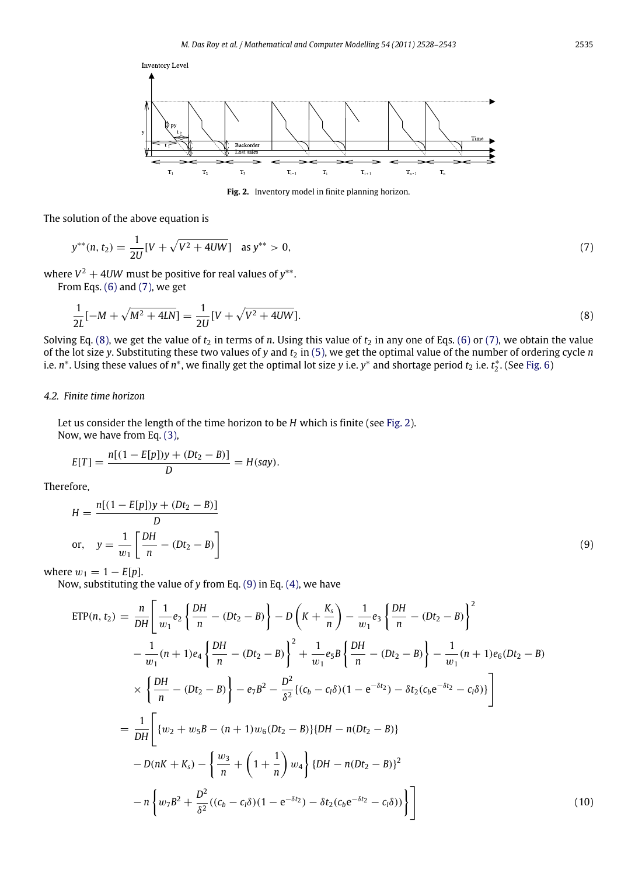<span id="page-7-2"></span>

<span id="page-7-3"></span><span id="page-7-1"></span><span id="page-7-0"></span>**Fig. 2.** Inventory model in finite planning horizon.

The solution of the above equation is

$$
y^{**}(n, t_2) = \frac{1}{2U} [V + \sqrt{V^2 + 4UW}] \quad \text{as } y^{**} > 0,
$$
\n(7)

where  $V^2 + 4$ *UW* must be positive for real values of  $y^{**}$ . From Eqs. [\(6\)](#page-6-0) and [\(7\),](#page-7-0) we get

$$
\frac{1}{2L}[-M+\sqrt{M^2+4LN}] = \frac{1}{2U}[V+\sqrt{V^2+4UW}].
$$
\n(8)

Solving Eq.  $(8)$ , we get the value of  $t_2$  in terms of *n*. Using this value of  $t_2$  in any one of Eqs.  $(6)$  or  $(7)$ , we obtain the value of the lot size *y*. Substituting these two values of *y* and *t*<sup>2</sup> in [\(5\),](#page-6-1) we get the optimal value of the number of ordering cycle *n* i.e. *n*<sup>∗</sup>. Using these values of *n*<sup>∗</sup>, we finally get the optimal lot size *y* i.e. *y*<sup>∗</sup> and shortage period *t*<sub>2</sub> i.e. *t*<sub>2</sub><sup>\*</sup>. (See [Fig. 6\)](#page-11-2)

#### *4.2. Finite time horizon*

Let us consider the length of the time horizon to be *H* which is finite (see [Fig. 2\)](#page-7-2). Now, we have from Eq. [\(3\),](#page-5-0)

$$
E[T] = \frac{n[(1 - E[p])y + (Dt_2 - B)]}{D} = H(say).
$$

Therefore,

$$
H = \frac{n[(1 - E[p])y + (Dt_2 - B)]}{D}
$$
  
or,  $y = \frac{1}{w_1} \left[ \frac{DH}{n} - (Dt_2 - B) \right]$  (9)

where  $w_1 = 1 - E[p]$ .

Now, substituting the value of *y* from Eq. [\(9\)](#page-7-3) in Eq. [\(4\),](#page-6-2) we have

<span id="page-7-4"></span>
$$
\text{ETP}(n, t_2) = \frac{n}{DH} \left[ \frac{1}{w_1} e_2 \left\{ \frac{DH}{n} - (Dt_2 - B) \right\} - D \left( K + \frac{K_s}{n} \right) - \frac{1}{w_1} e_3 \left\{ \frac{DH}{n} - (Dt_2 - B) \right\}^2 - \frac{1}{w_1} (n+1) e_4 \left\{ \frac{DH}{n} - (Dt_2 - B) \right\}^2 + \frac{1}{w_1} e_5 B \left\{ \frac{DH}{n} - (Dt_2 - B) \right\} - \frac{1}{w_1} (n+1) e_6 (Dt_2 - B) \times \left\{ \frac{DH}{n} - (Dt_2 - B) \right\} - e_7 B^2 - \frac{D^2}{\delta^2} \{ (c_b - c_l \delta) (1 - e^{-\delta t_2}) - \delta t_2 (c_b e^{-\delta t_2} - c_l \delta) \} \right]
$$
\n
$$
= \frac{1}{DH} \left[ \{ w_2 + w_5 B - (n+1) w_6 (Dt_2 - B) \} (DH - n (Dt_2 - B) \right\}
$$
\n
$$
-D(nK + K_s) - \left\{ \frac{w_3}{n} + \left( 1 + \frac{1}{n} \right) w_4 \right\} \{ DH - n (Dt_2 - B) \}^2 - n \left\{ w_7 B^2 + \frac{D^2}{\delta^2} ((c_b - c_l \delta) (1 - e^{-\delta t_2}) - \delta t_2 (c_b e^{-\delta t_2} - c_l \delta)) \right\} \right]
$$
\n(10)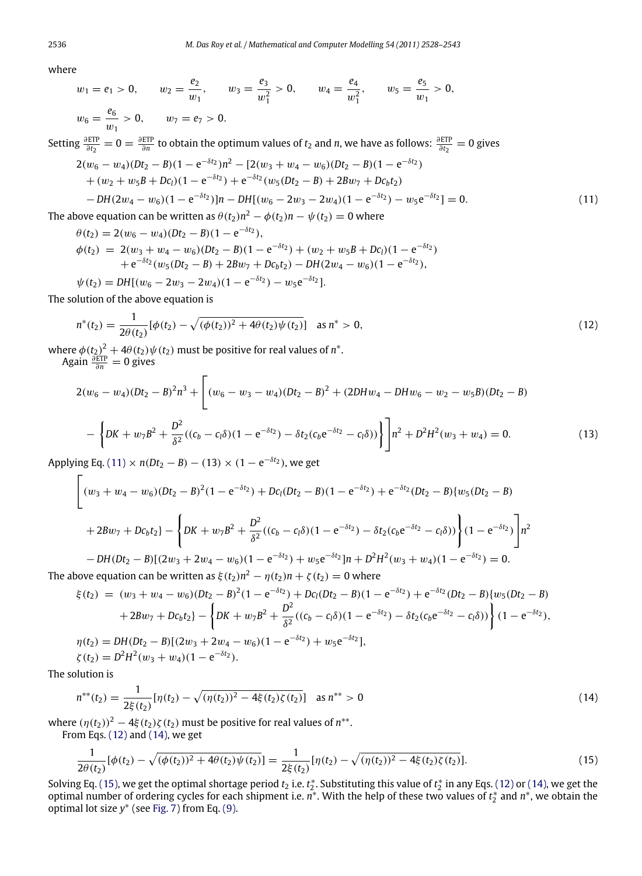where

$$
w_1 = e_1 > 0, \t w_2 = \frac{e_2}{w_1}, \t w_3 = \frac{e_3}{w_1^2} > 0, \t w_4 = \frac{e_4}{w_1^2}, \t w_5 = \frac{e_5}{w_1} > 0,
$$
  

$$
w_6 = \frac{e_6}{w_1} > 0, \t w_7 = e_7 > 0.
$$

Setting  $\frac{\partial ETP}{\partial t_2} = 0 = \frac{\partial ETP}{\partial n}$  to obtain the optimum values of *t*<sub>2</sub> and *n*, we have as follows:  $\frac{\partial ETP}{\partial t_2} = 0$  gives

<span id="page-8-0"></span>
$$
2(w_6 - w_4)(Dt_2 - B)(1 - e^{-\delta t_2})n^2 - [2(w_3 + w_4 - w_6)(Dt_2 - B)(1 - e^{-\delta t_2})+ (w_2 + w_5B + Dc_1)(1 - e^{-\delta t_2}) + e^{-\delta t_2}(w_5(Dt_2 - B) + 2Bw_7 + Dc_bt_2)- DH(2w_4 - w_6)(1 - e^{-\delta t_2})]n - DH[(w_6 - 2w_3 - 2w_4)(1 - e^{-\delta t_2}) - w_5e^{-\delta t_2}] = 0.
$$
\n(11)

The above equation can be written as  $\theta(t_2)n^2 - \phi(t_2)n - \psi(t_2) = 0$  where

$$
\theta(t_2) = 2(w_6 - w_4)(Dt_2 - B)(1 - e^{-\delta t_2}),
$$
  
\n
$$
\phi(t_2) = 2(w_3 + w_4 - w_6)(Dt_2 - B)(1 - e^{-\delta t_2}) + (w_2 + w_5B + Dc_1)(1 - e^{-\delta t_2})
$$
  
\n
$$
+ e^{-\delta t_2}(w_5(Dt_2 - B) + 2Bw_7 + Dc_bt_2) - DH(2w_4 - w_6)(1 - e^{-\delta t_2}),
$$
  
\n
$$
\psi(t_2) = DH[(w_6 - 2w_3 - 2w_4)(1 - e^{-\delta t_2}) - w_5e^{-\delta t_2}].
$$

The solution of the above equation is

<span id="page-8-1"></span>
$$
n^*(t_2) = \frac{1}{2\theta(t_2)} [\phi(t_2) - \sqrt{(\phi(t_2))^2 + 4\theta(t_2)\psi(t_2)}] \quad \text{as } n^* > 0,
$$
\n(12)

where  $\phi(t_2)^2 + 4\theta(t_2)\psi(t_2)$  must be positive for real values of *n*<sup>\*</sup>.<br>Again  $\frac{\partial \text{ETP}}{\partial n} = 0$  gives

$$
2(w_6 - w_4)(Dt_2 - B)^2 n^3 + \left[ (w_6 - w_3 - w_4)(Dt_2 - B)^2 + (2DHw_4 - DHw_6 - w_2 - w_5B)(Dt_2 - B) - \left\{ DK + w_7B^2 + \frac{D^2}{\delta^2}((c_b - c_l\delta)(1 - e^{-\delta t_2}) - \delta t_2(c_b e^{-\delta t_2} - c_l\delta)) \right\} \right] n^2 + D^2 H^2(w_3 + w_4) = 0.
$$
\n(13)

Applying Eq. [\(11\)](#page-8-0)  $\times n(Dt_2 - B) - (13) \times (1 - e^{-\delta t_2})$ , we get

$$
\left[ (w_3 + w_4 - w_6)(Dt_2 - B)^2 (1 - e^{-\delta t_2}) + Dc_I (Dt_2 - B)(1 - e^{-\delta t_2}) + e^{-\delta t_2} (Dt_2 - B)(w_5 (Dt_2 - B) + 2Bw_7 + Dc_b t_2) - \left\{ DK + w_7 B^2 + \frac{D^2}{\delta^2} ((c_b - c_l \delta)(1 - e^{-\delta t_2}) - \delta t_2 (c_b e^{-\delta t_2} - c_l \delta)) \right\} (1 - e^{-\delta t_2}) \right] n^2
$$

$$
-DH(Dt_2 - B)[(2w_3 + 2w_4 - w_6)(1 - e^{-\delta t_2}) + w_5 e^{-\delta t_2}]n + D^2 H^2(w_3 + w_4)(1 - e^{-\delta t_2}) = 0.
$$
  
The above equation can be written as  $\xi(t_2)n^2 - \eta(t_2)n + \zeta(t_2) = 0$  where

$$
\xi(t_2) = (w_3 + w_4 - w_6)(Dt_2 - B)^2(1 - e^{-\delta t_2}) + Dc_1(Dt_2 - B)(1 - e^{-\delta t_2}) + e^{-\delta t_2}(Dt_2 - B)\{w_5(Dt_2 - B) + 2Bw_7 + Dc_bt_2\} - \left\{DK + w_7B^2 + \frac{D^2}{\delta^2}((c_b - c_1\delta)(1 - e^{-\delta t_2}) - \delta t_2(c_b e^{-\delta t_2} - c_1\delta))\right\}(1 - e^{-\delta t_2}),
$$
  
\n
$$
\eta(t_2) = DH(Dt_2 - B)[(2w_3 + 2w_4 - w_6)(1 - e^{-\delta t_2}) + w_5 e^{-\delta t_2}],
$$
  
\n
$$
\zeta(t_2) = D^2H^2(w_3 + w_4)(1 - e^{-\delta t_2}).
$$

The solution is

<span id="page-8-2"></span>
$$
n^{**}(t_2) = \frac{1}{2\xi(t_2)} [\eta(t_2) - \sqrt{(\eta(t_2))^2 - 4\xi(t_2)\zeta(t_2)}] \quad \text{as } n^{**} > 0 \tag{14}
$$

where  $(\eta(t_2))^2 - 4\xi(t_2)\zeta(t_2)$  must be positive for real values of  $n^{**}$ . From Eqs. [\(12\)](#page-8-1) and [\(14\),](#page-8-2) we get

<span id="page-8-3"></span>
$$
\frac{1}{2\theta(t_2)}[\phi(t_2) - \sqrt{(\phi(t_2))^2 + 4\theta(t_2)\psi(t_2)}] = \frac{1}{2\xi(t_2)}[\eta(t_2) - \sqrt{(\eta(t_2))^2 - 4\xi(t_2)\zeta(t_2)}].
$$
\n(15)

Solving Eq. [\(15\),](#page-8-3) we get the optimal shortage period  $t_2$  i.e.  $t_2^*$ . Substituting this value of  $t_2^*$  in any Eqs. [\(12\)](#page-8-1) or [\(14\),](#page-8-2) we get the optimal number of ordering cycles for each shipment i.e.  $n^*$ . With the help of these two values of  $t_2^*$  and  $n^*$ , we obtain the optimal lot size *y* ∗ (see [Fig. 7\)](#page-11-3) from Eq. [\(9\).](#page-7-3)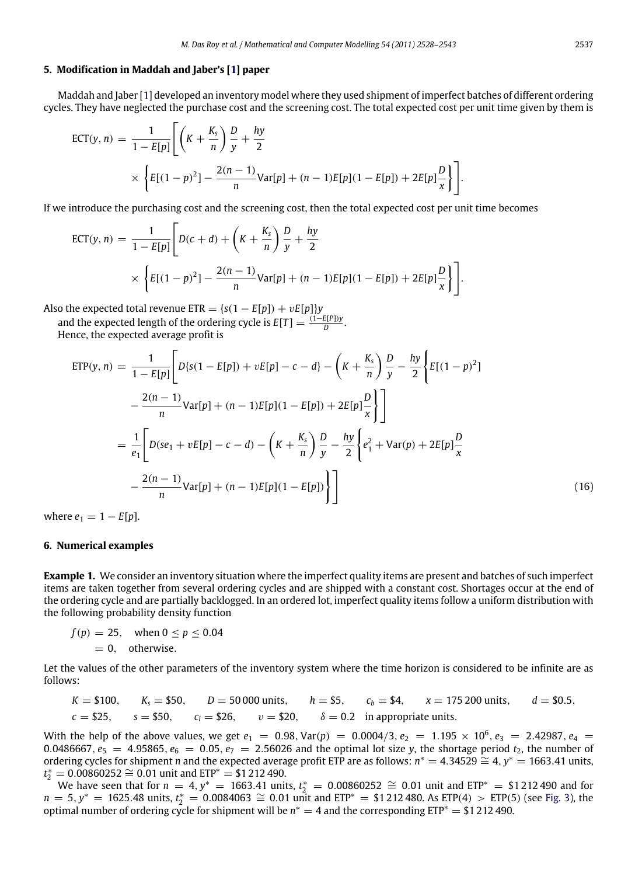#### <span id="page-9-0"></span>**5. Modification in Maddah and Jaber's [\[1\]](#page-14-0) paper**

Maddah and Jaber [\[1\]](#page-14-0) developed an inventory model where they used shipment of imperfect batches of different ordering cycles. They have neglected the purchase cost and the screening cost. The total expected cost per unit time given by them is

$$
ECT(y, n) = \frac{1}{1 - E[p]} \Bigg[ \left( K + \frac{K_s}{n} \right) \frac{D}{y} + \frac{hy}{2} + \frac{My}{2} + \frac{M}{2} \Bigg] \times \Bigg\{ E[(1 - p)^2] - \frac{2(n - 1)}{n} \text{Var}[p] + (n - 1)E[p](1 - E[p]) + 2E[p] \frac{D}{x} \Bigg\} \Bigg].
$$

If we introduce the purchasing cost and the screening cost, then the total expected cost per unit time becomes

$$
ECT(y, n) = \frac{1}{1 - E[p]} \Bigg[ D(c + d) + \left( K + \frac{K_s}{n} \right) \frac{D}{y} + \frac{hy}{2} \times \Bigg\{ E[(1 - p)^2] - \frac{2(n - 1)}{n} Var[p] + (n - 1)E[p](1 - E[p]) + 2E[p] \frac{D}{x} \Bigg\} \Bigg].
$$

Also the expected total revenue ETR =  ${s(1 - E[p]) + vE[p]}y$ 

and the expected length of the ordering cycle is  $E[T] = \frac{(1 - E[P])y}{D}$ . Hence, the expected average profit is

<span id="page-9-3"></span>
$$
ETP(y, n) = \frac{1}{1 - E[p]} \left[ D\{s(1 - E[p]) + vE[p] - c - d\} - \left(K + \frac{K_s}{n}\right) \frac{D}{y} - \frac{hy}{2} \left\{ E[(1 - p)^2] - \frac{2(n - 1)}{n} \text{Var}[p] + (n - 1)E[p](1 - E[p]) + 2E[p] \frac{D}{x} \right\} \right]
$$
  

$$
= \frac{1}{e_1} \left[ D(se_1 + vE[p] - c - d) - \left(K + \frac{K_s}{n}\right) \frac{D}{y} - \frac{hy}{2} \left\{ e_1^2 + \text{Var}(p) + 2E[p] \frac{D}{x} - \frac{2(n - 1)}{n} \text{Var}[p] + (n - 1)E[p](1 - E[p]) \right\} \right]
$$
(16)

where  $e_1 = 1 - E[p]$ .

#### <span id="page-9-1"></span>**6. Numerical examples**

<span id="page-9-2"></span>**Example 1.** We consider an inventory situation where the imperfect quality items are present and batches of such imperfect items are taken together from several ordering cycles and are shipped with a constant cost. Shortages occur at the end of the ordering cycle and are partially backlogged. In an ordered lot, imperfect quality items follow a uniform distribution with the following probability density function

$$
f(p) = 25, \quad \text{when } 0 \le p \le 0.04
$$
  
= 0, otherwise.

Let the values of the other parameters of the inventory system where the time horizon is considered to be infinite are as follows:

$$
K = $100,
$$
  $K_s = $50,$   $D = 50\,000$  units,  $h = $5,$   $c_b = $4,$   $x = 175\,200$  units,  $d = $0.5,$   
 $c = $25,$   $s = $50,$   $c_l = $26,$   $v = $20,$   $\delta = 0.2$  in appropriate units.

With the help of the above values, we get  $e_1 = 0.98$ , Var( $p$ ) = 0.0004/3,  $e_2 = 1.195 \times 10^6$ ,  $e_3 = 2.42987$ ,  $e_4 =$ 0.0486667,  $e_5 = 4.95865$ ,  $e_6 = 0.05$ ,  $e_7 = 2.56026$  and the optimal lot size *y*, the shortage period  $t_2$ , the number of ordering cycles for shipment *n* and the expected average profit ETP are as follows:  $n^* = 4.34529 \approx 4$ ,  $y^* = 1663.41$  units,  $t_2^* = 0.00860252 \cong 0.01$  unit and ETP<sup>\*</sup> = \$1 212 490.

We have seen that for  $n = 4, y^* = 1663.41$  units,  $t_2^* = 0.00860252 \approx 0.01$  unit and ETP<sup>\*</sup> = \$1 212 490 and for  $n = 5, y^* = 1625.48$  units,  $t_2^* = 0.0084063 \approx 0.01$  unit and ETP<sup>\*</sup> = \$1 212 480. As ETP(4) > ETP(5) (see [Fig. 3\)](#page-10-0), the optimal number of ordering cycle for shipment will be  $n^* = 4$  and the corresponding ETP<sup>∗</sup> = \$1 212 490.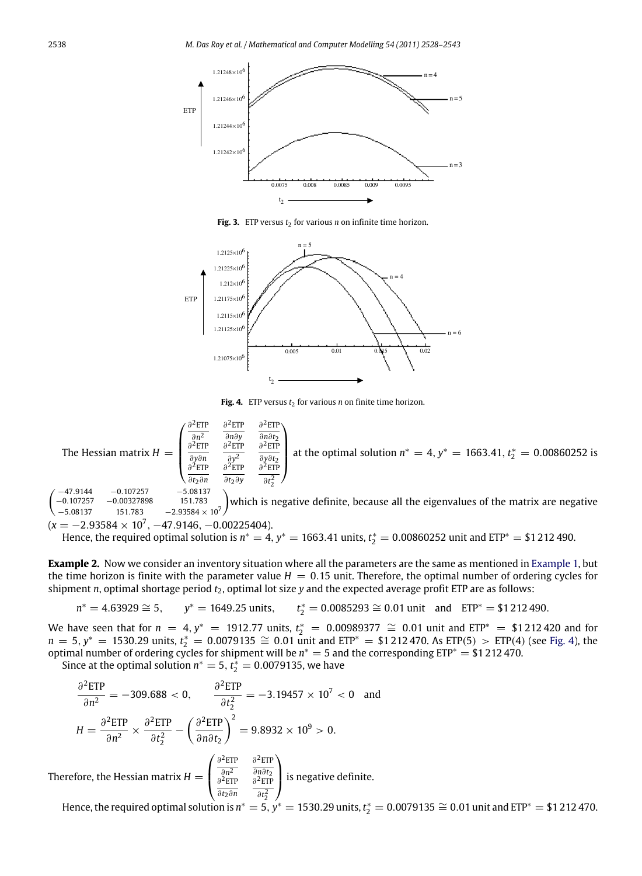<span id="page-10-0"></span>

**Fig. 3.** ETP versus  $t_2$  for various *n* on infinite time horizon.

<span id="page-10-1"></span>

**Fig. 4.** ETP versus  $t_2$  for various  $n$  on finite time horizon.

The Hessian matrix *H* =  $\sqrt{ }$  $\mathbf{I}$  $\mathbf{I}$  $\mathbf{I}$  $\mathbf{I}$ ∂ <sup>2</sup>ETP ∂*n* 2 ∂ <sup>2</sup>ETP ∂*n*∂*y*  $∂<sup>2</sup>ETP$ ∂*n*∂*t*<sup>2</sup> ∂ <sup>2</sup>ETP ∂*y*∂*n*  $∂<sup>2</sup>ETP$ ∂*y* 2  $∂<sup>2</sup>ETP$ ∂*y*∂*t*<sup>2</sup> ∂ <sup>2</sup>ETP  $\sqrt{\frac{\partial t_2}{\partial n}}$ <br>−5.08137  $\partial^2$ ETP ∂*t*2∂*y*  $∂<sup>2</sup>ETP$  $\partial t_2^2$  $\setminus$  $\mathbf{I}$  $\mathbf{I}$  $\mathbf{I}$  $\mathbf{I}$ at the optimal solution  $n^* = 4$ ,  $y^* = 1663.41$ ,  $t_2^* = 0.00860252$  is  $-47.9144 -0.107257 -5.08137$ <br>-0.107257 -0.00327898 151.783  $-0.00327898$  $\setminus$ which is negative definite, because all the eigenvalues of the matrix are negative

 $-5.08137$  151.783  $-2.93584 \times 10^{7}$  $(0.4 \times 10^7$ 

$$
(x = -2.93584 \times 10^{7}, -47.9146, -0.00225404).
$$

<span id="page-10-2"></span>Hence, the required optimal solution is  $n^* = 4$ ,  $y^* = 1663.41$  units,  $t_2^* = 0.00860252$  unit and ETP<sup>\*</sup> = \$1 212 490.

**Example 2.** Now we consider an inventory situation where all the parameters are the same as mentioned in [Example 1,](#page-9-2) but the time horizon is finite with the parameter value  $H = 0.15$  unit. Therefore, the optimal number of ordering cycles for shipment *n*, optimal shortage period *t*2, optimal lot size *y* and the expected average profit ETP are as follows:

$$
n^* = 4.63929 \approx 5
$$
,  $y^* = 1649.25$  units,  $t_2^* = 0.0085293 \approx 0.01$  unit and  $ETP^* = $1212490$ .

We have seen that for  $n = 4$ ,  $y^* = 1912.77$  units,  $t_2^* = 0.00989377 ≈ 0.01$  unit and ETP<sup>∗</sup> = \$1 212 420 and for  $n = 5, y^* = 1530.29$  units,  $t_2^* = 0.0079135 \approx 0.01$  unit and ETP<sup>\*</sup> = \$1 212 470. As ETP(5) > ETP(4) (see [Fig. 4\)](#page-10-1), the optimal number of ordering cycles for shipment will be  $n^* = 5$  and the corresponding ETP<sup>∗</sup> = \$1 212 470.

Since at the optimal solution  $n^* = 5$ ,  $t_2^* = 0.0079135$ , we have

$$
\frac{\partial^2 \text{ETP}}{\partial n^2} = -309.688 < 0, \qquad \frac{\partial^2 \text{ETP}}{\partial t_2^2} = -3.19457 \times 10^7 < 0 \quad \text{and}
$$
\n
$$
H = \frac{\partial^2 \text{ETP}}{\partial n^2} \times \frac{\partial^2 \text{ETP}}{\partial t_2^2} - \left(\frac{\partial^2 \text{ETP}}{\partial n \partial t_2}\right)^2 = 9.8932 \times 10^9 > 0.
$$

Therefore, the Hessian matrix *H* =  $\sqrt{ }$ Ł  $\mathbf{I}$  $∂<sup>2</sup>ETP$ ∂*n* 2  $∂<sup>2</sup>ETP$ ∂*n∂t*<sub>2</sub><br>∂<sup>2</sup>ETP  $∂<sup>2</sup>ETP$ ∂*t*2∂*n*  $\partial t_2^2$  $\lambda$ H is negative definite.

Hence, the required optimal solution is  $n^*=\bar5$ ,  $y^*=1530.29$  units,  $t^*_2=0.0079135\cong0.01$  unit and ETP\*  $=$  \$1 212 470.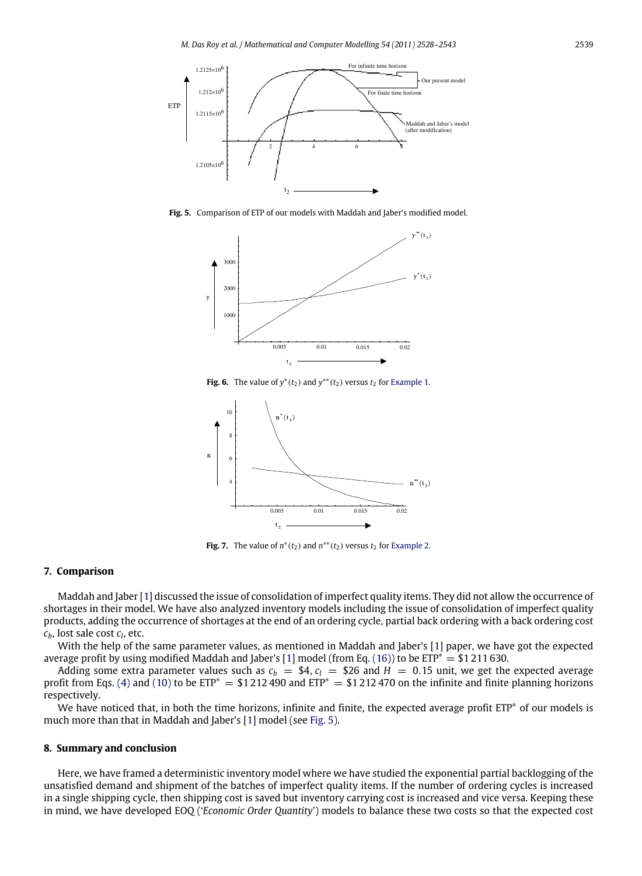<span id="page-11-4"></span>

<span id="page-11-2"></span>**Fig. 5.** Comparison of ETP of our models with Maddah and Jaber's modified model.



**Fig. 6.** The value of  $y^*(t_2)$  and  $y^{**}(t_2)$  versus  $t_2$  for [Example 1.](#page-9-2)

<span id="page-11-3"></span>

**Fig. 7.** The value of  $n^*(t_2)$  and  $n^{**}(t_2)$  versus  $t_2$  for [Example 2.](#page-10-2)

#### <span id="page-11-0"></span>**7. Comparison**

Maddah and Jaber [\[1\]](#page-14-0) discussed the issue of consolidation of imperfect quality items. They did not allow the occurrence of shortages in their model. We have also analyzed inventory models including the issue of consolidation of imperfect quality products, adding the occurrence of shortages at the end of an ordering cycle, partial back ordering with a back ordering cost  $c_b$ , lost sale cost  $c_l$ , etc.

With the help of the same parameter values, as mentioned in Maddah and Jaber's [\[1\]](#page-14-0) paper, we have got the expected average profit by using modified Maddah and Jaber's [\[1\]](#page-14-0) model (from Eq. [\(16\)\)](#page-9-3) to be ETP<sup>∗</sup> = \$1 211 630.

Adding some extra parameter values such as  $c_b = $4, c_l = $26$  and  $H = 0.15$  unit, we get the expected average profit from Eqs. [\(4\)](#page-6-2) and [\(10\)](#page-7-4) to be ETP<sup>\*</sup> = \$1 212 490 and ETP<sup>\*</sup> = \$1 212 470 on the infinite and finite planning horizons respectively.

We have noticed that, in both the time horizons, infinite and finite, the expected average profit ETP<sup>∗</sup> of our models is much more than that in Maddah and Jaber's [\[1\]](#page-14-0) model (see [Fig. 5\)](#page-11-4).

#### <span id="page-11-1"></span>**8. Summary and conclusion**

Here, we have framed a deterministic inventory model where we have studied the exponential partial backlogging of the unsatisfied demand and shipment of the batches of imperfect quality items. If the number of ordering cycles is increased in a single shipping cycle, then shipping cost is saved but inventory carrying cost is increased and vice versa. Keeping these in mind, we have developed EOQ ('*Economic Order Quantity*') models to balance these two costs so that the expected cost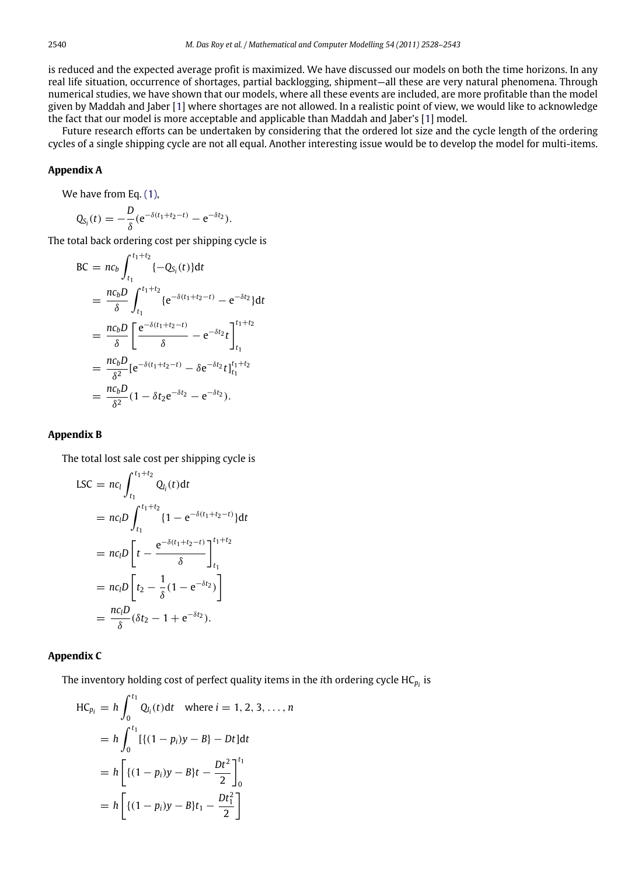is reduced and the expected average profit is maximized. We have discussed our models on both the time horizons. In any real life situation, occurrence of shortages, partial backlogging, shipment—all these are very natural phenomena. Through numerical studies, we have shown that our models, where all these events are included, are more profitable than the model given by Maddah and Jaber [\[1\]](#page-14-0) where shortages are not allowed. In a realistic point of view, we would like to acknowledge the fact that our model is more acceptable and applicable than Maddah and Jaber's [\[1\]](#page-14-0) model.

Future research efforts can be undertaken by considering that the ordered lot size and the cycle length of the ordering cycles of a single shipping cycle are not all equal. Another interesting issue would be to develop the model for multi-items.

### **Appendix A**

<span id="page-12-0"></span>We have from Eq.  $(1)$ ,

$$
Q_{S_i}(t) = -\frac{D}{\delta}(e^{-\delta(t_1+t_2-t)} - e^{-\delta t_2}).
$$

The total back ordering cost per shipping cycle is

$$
BC = nc_b \int_{t_1}^{t_1+t_2} \{-Q_{S_i}(t)\} dt
$$
  
\n
$$
= \frac{nc_b D}{\delta} \int_{t_1}^{t_1+t_2} \{e^{-\delta(t_1+t_2-t)} - e^{-\delta t_2}\} dt
$$
  
\n
$$
= \frac{nc_b D}{\delta} \left[\frac{e^{-\delta(t_1+t_2-t)}}{\delta} - e^{-\delta t_2}t\right]_{t_1}^{t_1+t_2}
$$
  
\n
$$
= \frac{nc_b D}{\delta^2} [e^{-\delta(t_1+t_2-t)} - \delta e^{-\delta t_2}t]_{t_1}^{t_1+t_2}
$$
  
\n
$$
= \frac{nc_b D}{\delta^2} (1 - \delta t_2 e^{-\delta t_2} - e^{-\delta t_2}).
$$

#### **Appendix B**

The total lost sale cost per shipping cycle is

<span id="page-12-1"></span>LSC = 
$$
nc_l \int_{t_1}^{t_1+t_2} Q_{l_i}(t)dt
$$
  
\n=  $nc_lD \int_{t_1}^{t_1+t_2} \{1 - e^{-\delta(t_1+t_2-t)}\}dt$   
\n=  $nc_lD \left[ t - \frac{e^{-\delta(t_1+t_2-t)}}{\delta} \right]_{t_1}^{t_1+t_2}$   
\n=  $nc_lD \left[ t_2 - \frac{1}{\delta} (1 - e^{-\delta t_2}) \right]$   
\n=  $\frac{nc_lD}{\delta} (\delta t_2 - 1 + e^{-\delta t_2}).$ 

# **Appendix C**

<span id="page-12-2"></span>The inventory holding cost of perfect quality items in the *i*th ordering cycle HC*<sup>p</sup><sup>i</sup>* is

$$
\begin{aligned} \text{HC}_{p_i} &= h \int_0^{t_1} Q_{l_i}(t) \text{d}t \quad \text{where } i = 1, 2, 3, \dots, n \\ &= h \int_0^{t_1} [\{(1 - p_i)y - B\} - Dt] \text{d}t \\ &= h \left[ \{(1 - p_i)y - B\}t - \frac{Dt^2}{2} \right]_0^{t_1} \\ &= h \left[ \{(1 - p_i)y - B\}t_1 - \frac{Dt_1^2}{2} \right] \end{aligned}
$$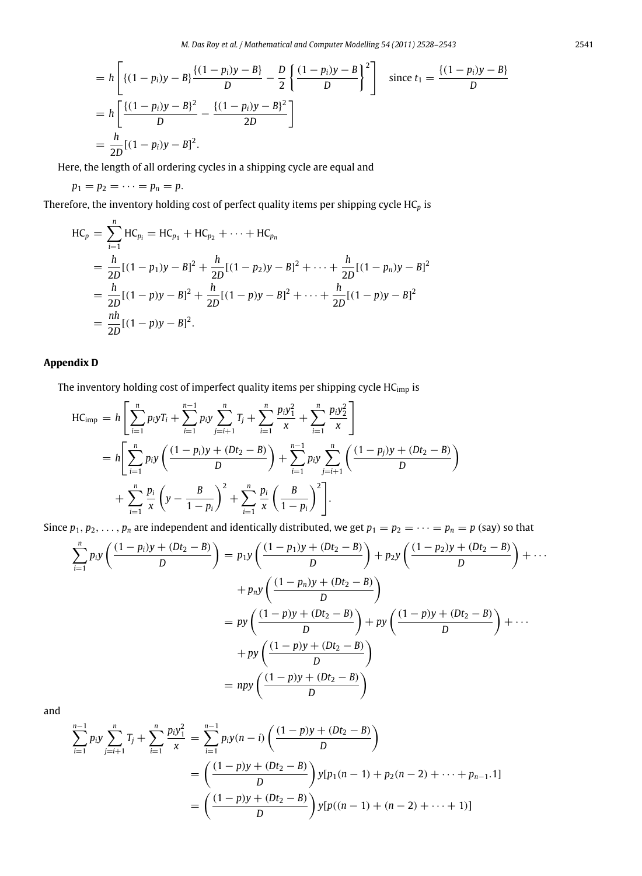$$
= h \left[ \{ (1 - p_i)y - B \} \frac{\{(1 - p_i)y - B\}}{D} - \frac{D}{2} \left\{ \frac{(1 - p_i)y - B}{D} \right\}^2 \right] \text{ since } t_1 = \frac{\{(1 - p_i)y - B\}}{D}
$$
  
=  $h \left[ \frac{\{(1 - p_i)y - B\}^2}{D} - \frac{\{(1 - p_i)y - B\}^2}{2D} \right]$   
=  $\frac{h}{2D} [(1 - p_i)y - B]^2$ .

Here, the length of all ordering cycles in a shipping cycle are equal and

$$
p_1=p_2=\cdots=p_n=p.
$$

Therefore, the inventory holding cost of perfect quality items per shipping cycle HC*<sup>p</sup>* is

$$
HC_p = \sum_{i=1}^n HC_{p_i} = HC_{p_1} + HC_{p_2} + \dots + HC_{p_n}
$$
  
=  $\frac{h}{2D}[(1-p_1)y - B]^2 + \frac{h}{2D}[(1-p_2)y - B]^2 + \dots + \frac{h}{2D}[(1-p_n)y - B]^2$   
=  $\frac{h}{2D}[(1-p)y - B]^2 + \frac{h}{2D}[(1-p)y - B]^2 + \dots + \frac{h}{2D}[(1-p)y - B]^2$   
=  $\frac{nh}{2D}[(1-p)y - B]^2$ .

# **Appendix D**

<span id="page-13-0"></span>The inventory holding cost of imperfect quality items per shipping cycle HC<sub>imp</sub> is

$$
\begin{split} \mathrm{HC_{imp}} &= h \Bigg[ \sum_{i=1}^{n} p_i y T_i + \sum_{i=1}^{n-1} p_i y \sum_{j=i+1}^{n} T_j + \sum_{i=1}^{n} \frac{p_i y_1^2}{x} + \sum_{i=1}^{n} \frac{p_i y_2^2}{x} \Bigg] \\ &= h \Bigg[ \sum_{i=1}^{n} p_i y \left( \frac{(1-p_i)y + (Dt_2 - B)}{D} \right) + \sum_{i=1}^{n-1} p_i y \sum_{j=i+1}^{n} \left( \frac{(1-p_j)y + (Dt_2 - B)}{D} \right) \\ &+ \sum_{i=1}^{n} \frac{p_i}{x} \left( y - \frac{B}{1-p_i} \right)^2 + \sum_{i=1}^{n} \frac{p_i}{x} \left( \frac{B}{1-p_i} \right)^2 \Bigg]. \end{split}
$$

Since  $p_1, p_2, \ldots, p_n$  are independent and identically distributed, we get  $p_1 = p_2 = \cdots = p_n = p$  (say) so that

$$
\sum_{i=1}^{n} p_i y \left( \frac{(1-p_i)y + (Dt_2 - B)}{D} \right) = p_1 y \left( \frac{(1-p_1)y + (Dt_2 - B)}{D} \right) + p_2 y \left( \frac{(1-p_2)y + (Dt_2 - B)}{D} \right) + \cdots
$$

$$
+ p_n y \left( \frac{(1-p_n)y + (Dt_2 - B)}{D} \right)
$$

$$
= py \left( \frac{(1-p)y + (Dt_2 - B)}{D} \right) + py \left( \frac{(1-p)y + (Dt_2 - B)}{D} \right) + \cdots
$$

$$
+ py \left( \frac{(1-p)y + (Dt_2 - B)}{D} \right)
$$

$$
= npy \left( \frac{(1-p)y + (Dt_2 - B)}{D} \right)
$$

and

$$
\sum_{i=1}^{n-1} p_i y \sum_{j=i+1}^n T_j + \sum_{i=1}^n \frac{p_i y_i^2}{x} = \sum_{i=1}^{n-1} p_i y (n-i) \left( \frac{(1-p)y + (Dt_2 - B)}{D} \right)
$$
  
= 
$$
\left( \frac{(1-p)y + (Dt_2 - B)}{D} \right) y [p_1(n-1) + p_2(n-2) + \dots + p_{n-1}.1]
$$
  
= 
$$
\left( \frac{(1-p)y + (Dt_2 - B)}{D} \right) y [p((n-1) + (n-2) + \dots + 1)]
$$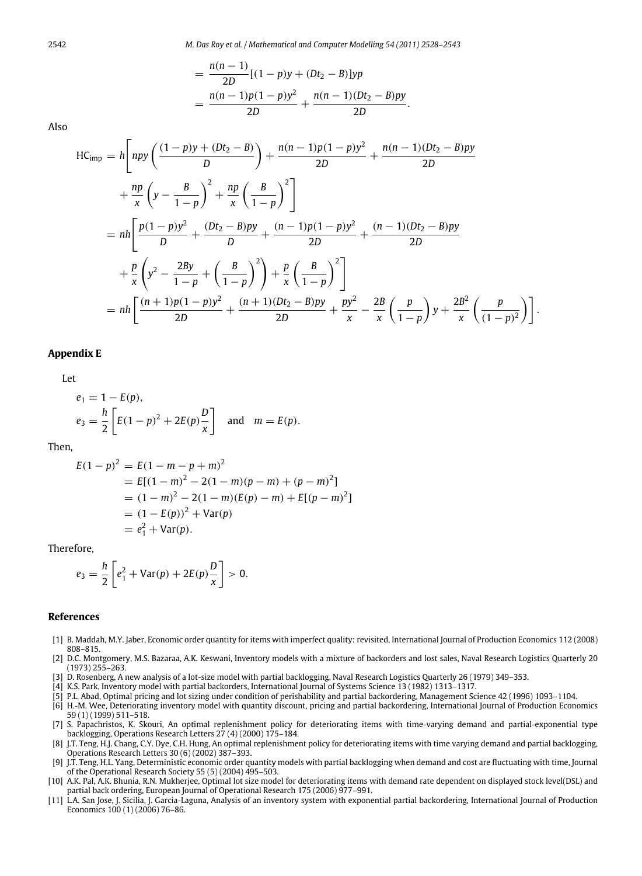2542 *M. Das Roy et al. / Mathematical and Computer Modelling 54 (2011) 2528–2543*

$$
= \frac{n(n-1)}{2D}[(1-p)y + (Dt_2 - B)]yp
$$
  
= 
$$
\frac{n(n-1)p(1-p)y^2}{2D} + \frac{n(n-1)(Dt_2 - B)py}{2D}.
$$

Also

$$
\begin{split} \text{HC}_{\text{imp}} &= h \Bigg[ n p y \Bigg( \frac{(1-p)y + (Dt_2 - B)}{D} \Bigg) + \frac{n(n-1)p(1-p)y^2}{2D} + \frac{n(n-1)(Dt_2 - B)py}{2D} \\ &+ \frac{np}{x} \Bigg( y - \frac{B}{1-p} \Bigg)^2 + \frac{np}{x} \Bigg( \frac{B}{1-p} \Bigg)^2 \Bigg] \\ &= n h \Bigg[ \frac{p(1-p)y^2}{D} + \frac{(Dt_2 - B)py}{D} + \frac{(n-1)p(1-p)y^2}{2D} + \frac{(n-1)(Dt_2 - B)py}{2D} \\ &+ \frac{p}{x} \Bigg( y^2 - \frac{2By}{1-p} + \Bigg( \frac{B}{1-p} \Bigg)^2 \Bigg) + \frac{p}{x} \Bigg( \frac{B}{1-p} \Bigg)^2 \Bigg] \\ &= n h \Bigg[ \frac{(n+1)p(1-p)y^2}{2D} + \frac{(n+1)(Dt_2 - B)py}{2D} + \frac{py^2}{x} - \frac{2B}{x} \Bigg( \frac{p}{1-p} \Bigg) y + \frac{2B^2}{x} \Bigg( \frac{p}{(1-p)^2} \Bigg) \Bigg]. \end{split}
$$

#### **Appendix E**

<span id="page-14-11"></span>Let

$$
e_1 = 1 - E(p),
$$
  
\n $e_3 = \frac{h}{2} \left[ E(1-p)^2 + 2E(p) \frac{D}{x} \right]$  and  $m = E(p).$ 

Then,

$$
E(1-p)^2 = E(1-m-p+m)^2
$$
  
=  $E[(1-m)^2 - 2(1-m)(p-m) + (p-m)^2]$   
=  $(1-m)^2 - 2(1-m)(E(p-m) + E[(p-m)^2]$   
=  $(1 - E(p))^2 + Var(p)$   
=  $e_1^2 + Var(p)$ .

Therefore,

$$
e_3 = \frac{h}{2} \left[ e_1^2 + \text{Var}(p) + 2E(p) \frac{D}{x} \right] > 0.
$$

#### **References**

- <span id="page-14-0"></span>[1] B. Maddah, M.Y. Jaber, Economic order quantity for items with imperfect quality: revisited, International Journal of Production Economics 112 (2008) 808–815.
- <span id="page-14-1"></span>[2] D.C. Montgomery, M.S. Bazaraa, A.K. Keswani, Inventory models with a mixture of backorders and lost sales, Naval Research Logistics Quarterly 20 (1973) 255–263.
- <span id="page-14-2"></span>[3] D. Rosenberg, A new analysis of a lot-size model with partial backlogging, Naval Research Logistics Quarterly 26 (1979) 349–353.
- <span id="page-14-3"></span>[4] K.S. Park, Inventory model with partial backorders, International Journal of Systems Science 13 (1982) 1313–1317.
- <span id="page-14-4"></span>[5] P.L. Abad, Optimal pricing and lot sizing under condition of perishability and partial backordering, Management Science 42 (1996) 1093–1104.
- <span id="page-14-5"></span>[6] H.-M. Wee, Deteriorating inventory model with quantity discount, pricing and partial backordering, International Journal of Production Economics 59 (1) (1999) 511–518.
- <span id="page-14-6"></span>[7] S. Papachristos, K. Skouri, An optimal replenishment policy for deteriorating items with time-varying demand and partial-exponential type backlogging, Operations Research Letters 27 (4) (2000) 175–184.
- <span id="page-14-7"></span>[8] J.T. Teng, H.J. Chang, C.Y. Dye, C.H. Hung, An optimal replenishment policy for deteriorating items with time varying demand and partial backlogging, Operations Research Letters 30 (6) (2002) 387–393.
- <span id="page-14-8"></span>[9] J.T. Teng, H.L. Yang, Deterministic economic order quantity models with partial backlogging when demand and cost are fluctuating with time, Journal of the Operational Research Society 55 (5) (2004) 495–503.
- <span id="page-14-9"></span>[10] A.K. Pal, A.K. Bhunia, R.N. Mukherjee, Optimal lot size model for deteriorating items with demand rate dependent on displayed stock level(DSL) and partial back ordering, European Journal of Operational Research 175 (2006) 977–991.
- <span id="page-14-10"></span>[11] L.A. San Jose, J. Sicilia, J. Garcia-Laguna, Analysis of an inventory system with exponential partial backordering, International Journal of Production Economics 100 (1) (2006) 76–86.